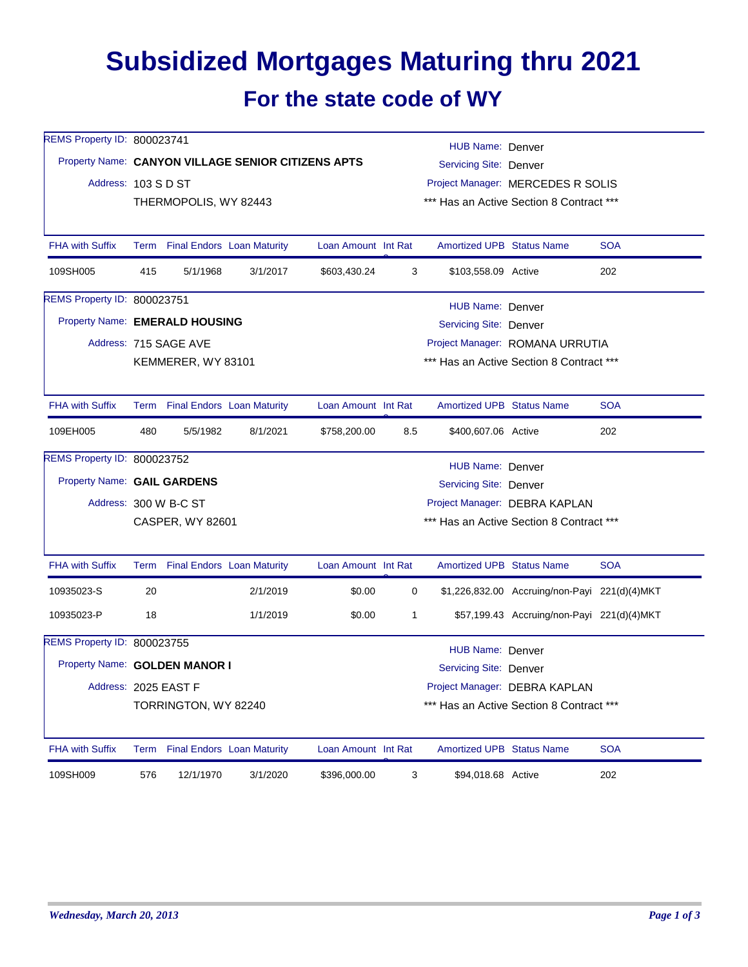## **Subsidized Mortgages Maturing thru 2021 For the state code of WY**

| REMS Property ID: 800023741 |                                                    |                                 |                                 |                     |                                          | HUB Name: Denver                         |                                               |            |  |  |
|-----------------------------|----------------------------------------------------|---------------------------------|---------------------------------|---------------------|------------------------------------------|------------------------------------------|-----------------------------------------------|------------|--|--|
|                             | Property Name: CANYON VILLAGE SENIOR CITIZENS APTS |                                 |                                 |                     |                                          | Servicing Site: Denver                   |                                               |            |  |  |
|                             | Address: 103 S D ST<br>THERMOPOLIS, WY 82443       |                                 |                                 |                     |                                          | Project Manager: MERCEDES R SOLIS        |                                               |            |  |  |
|                             |                                                    |                                 |                                 |                     |                                          | *** Has an Active Section 8 Contract *** |                                               |            |  |  |
|                             |                                                    |                                 |                                 |                     |                                          |                                          |                                               |            |  |  |
| <b>FHA with Suffix</b>      |                                                    |                                 | Term Final Endors Loan Maturity | Loan Amount Int Rat |                                          | Amortized UPB Status Name                |                                               | <b>SOA</b> |  |  |
| 109SH005                    | 415                                                | 5/1/1968                        | 3/1/2017                        | \$603,430.24        | 3                                        | \$103,558.09 Active                      |                                               | 202        |  |  |
| REMS Property ID: 800023751 |                                                    |                                 |                                 |                     |                                          | HUB Name: Denver                         |                                               |            |  |  |
|                             | Property Name: EMERALD HOUSING                     |                                 |                                 |                     |                                          | Servicing Site: Denver                   |                                               |            |  |  |
|                             | Address: 715 SAGE AVE                              |                                 |                                 |                     |                                          | Project Manager: ROMANA URRUTIA          |                                               |            |  |  |
|                             |                                                    | KEMMERER, WY 83101              |                                 |                     |                                          | *** Has an Active Section 8 Contract *** |                                               |            |  |  |
|                             |                                                    |                                 |                                 |                     |                                          |                                          |                                               |            |  |  |
| <b>FHA with Suffix</b>      |                                                    | Term Final Endors Loan Maturity |                                 | Loan Amount Int Rat |                                          | <b>Amortized UPB Status Name</b>         |                                               | <b>SOA</b> |  |  |
| 109EH005                    | 480                                                | 5/5/1982                        | 8/1/2021                        | \$758,200.00        | 8.5                                      | \$400,607.06 Active                      |                                               | 202        |  |  |
| REMS Property ID: 800023752 |                                                    |                                 |                                 |                     |                                          | HUB Name: Denver                         |                                               |            |  |  |
| Property Name: GAIL GARDENS |                                                    |                                 |                                 |                     |                                          | <b>Servicing Site: Denver</b>            |                                               |            |  |  |
|                             | Address: 300 W B-C ST                              |                                 |                                 |                     |                                          | Project Manager: DEBRA KAPLAN            |                                               |            |  |  |
|                             | CASPER, WY 82601                                   |                                 |                                 |                     | *** Has an Active Section 8 Contract *** |                                          |                                               |            |  |  |
|                             |                                                    |                                 |                                 |                     |                                          |                                          |                                               |            |  |  |
| <b>FHA with Suffix</b>      |                                                    |                                 | Term Final Endors Loan Maturity | Loan Amount Int Rat |                                          | <b>Amortized UPB Status Name</b>         |                                               | <b>SOA</b> |  |  |
| 10935023-S                  | 20                                                 |                                 | 2/1/2019                        | \$0.00              | 0                                        |                                          | \$1,226,832.00 Accruing/non-Payi 221(d)(4)MKT |            |  |  |
| 10935023-P                  | 18                                                 |                                 | 1/1/2019                        | \$0.00              | 1                                        |                                          | \$57,199.43 Accruing/non-Payi 221(d)(4)MKT    |            |  |  |
| REMS Property ID: 800023755 |                                                    |                                 |                                 |                     |                                          | HUB Name: Denver                         |                                               |            |  |  |
|                             | Property Name: GOLDEN MANOR I                      |                                 |                                 |                     |                                          | Servicing Site: Denver                   |                                               |            |  |  |
| Address: 2025 EAST F        |                                                    |                                 |                                 |                     |                                          | Project Manager: DEBRA KAPLAN            |                                               |            |  |  |
|                             |                                                    | TORRINGTON, WY 82240            |                                 |                     |                                          | *** Has an Active Section 8 Contract *** |                                               |            |  |  |
| <b>FHA with Suffix</b>      |                                                    |                                 | Term Final Endors Loan Maturity | Loan Amount Int Rat |                                          | <b>Amortized UPB Status Name</b>         |                                               | <b>SOA</b> |  |  |
| 109SH009                    | 576                                                | 12/1/1970                       | 3/1/2020                        | \$396,000.00        | $\sqrt{3}$                               | \$94,018.68 Active                       |                                               | 202        |  |  |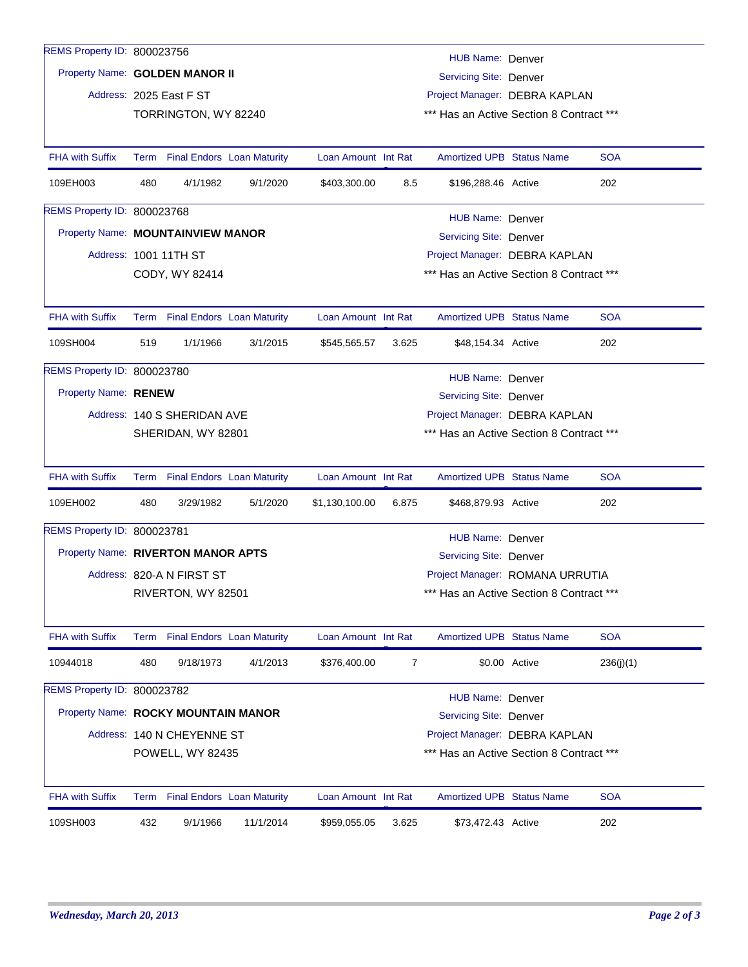| REMS Property ID: 800023756        |                                                                                          |                             |                                          |                     |                               | HUB Name: Denver                         |                                 |            |  |
|------------------------------------|------------------------------------------------------------------------------------------|-----------------------------|------------------------------------------|---------------------|-------------------------------|------------------------------------------|---------------------------------|------------|--|
| Property Name: GOLDEN MANOR II     |                                                                                          |                             |                                          |                     | <b>Servicing Site: Denver</b> |                                          |                                 |            |  |
|                                    |                                                                                          | Address: 2025 East F ST     |                                          |                     |                               | Project Manager: DEBRA KAPLAN            |                                 |            |  |
|                                    |                                                                                          | TORRINGTON, WY 82240        | *** Has an Active Section 8 Contract *** |                     |                               |                                          |                                 |            |  |
|                                    |                                                                                          |                             |                                          |                     |                               |                                          |                                 |            |  |
| <b>FHA with Suffix</b>             |                                                                                          |                             | Term Final Endors Loan Maturity          | Loan Amount Int Rat |                               | <b>Amortized UPB Status Name</b>         |                                 | <b>SOA</b> |  |
| 109EH003                           | 480                                                                                      | 4/1/1982                    | 9/1/2020                                 | \$403,300.00        | 8.5                           | \$196,288.46 Active                      |                                 | 202        |  |
| <b>REMS Property ID: 800023768</b> |                                                                                          |                             |                                          |                     |                               | HUB Name: Denver                         |                                 |            |  |
| Property Name: MOUNTAINVIEW MANOR  |                                                                                          |                             |                                          |                     |                               | Servicing Site: Denver                   |                                 |            |  |
|                                    |                                                                                          | Address: 1001 11TH ST       |                                          |                     |                               | Project Manager: DEBRA KAPLAN            |                                 |            |  |
|                                    |                                                                                          | CODY, WY 82414              |                                          |                     |                               | *** Has an Active Section 8 Contract *** |                                 |            |  |
|                                    |                                                                                          |                             |                                          |                     |                               |                                          |                                 |            |  |
| <b>FHA with Suffix</b>             |                                                                                          |                             | Term Final Endors Loan Maturity          | Loan Amount Int Rat |                               | Amortized UPB Status Name                |                                 | <b>SOA</b> |  |
| 109SH004                           | 519                                                                                      | 1/1/1966                    | 3/1/2015                                 | \$545,565.57        | 3.625                         | \$48,154.34 Active                       |                                 | 202        |  |
| REMS Property ID: 800023780        |                                                                                          |                             |                                          |                     |                               | HUB Name: Denver                         |                                 |            |  |
| Property Name: RENEW               |                                                                                          |                             |                                          |                     |                               | <b>Servicing Site: Denver</b>            |                                 |            |  |
|                                    |                                                                                          | Address: 140 S SHERIDAN AVE |                                          |                     |                               | Project Manager: DEBRA KAPLAN            |                                 |            |  |
|                                    |                                                                                          | SHERIDAN, WY 82801          |                                          |                     |                               | *** Has an Active Section 8 Contract *** |                                 |            |  |
|                                    |                                                                                          |                             |                                          |                     |                               |                                          |                                 |            |  |
| <b>FHA with Suffix</b>             |                                                                                          |                             | Term Final Endors Loan Maturity          | Loan Amount Int Rat |                               | <b>Amortized UPB Status Name</b>         |                                 | <b>SOA</b> |  |
| 109EH002                           | 480                                                                                      | 3/29/1982                   | 5/1/2020                                 | \$1,130,100.00      | 6.875                         | \$468,879.93 Active                      |                                 | 202        |  |
| REMS Property ID: 800023781        |                                                                                          |                             |                                          |                     |                               | HUB Name: Denver                         |                                 |            |  |
| Property Name: RIVERTON MANOR APTS |                                                                                          |                             |                                          |                     |                               | <b>Servicing Site: Denver</b>            |                                 |            |  |
|                                    |                                                                                          | Address: 820-A N FIRST ST   |                                          |                     |                               |                                          | Project Manager: ROMANA URRUTIA |            |  |
|                                    | RIVERTON, WY 82501                                                                       |                             |                                          |                     |                               | *** Has an Active Section 8 Contract *** |                                 |            |  |
|                                    |                                                                                          |                             |                                          |                     |                               |                                          |                                 |            |  |
| <b>FHA with Suffix</b>             | Term                                                                                     |                             | <b>Final Endors Loan Maturity</b>        | Loan Amount Int Rat |                               | <b>Amortized UPB Status Name</b>         |                                 | <b>SOA</b> |  |
| 10944018                           | 480                                                                                      | 9/18/1973                   | 4/1/2013                                 | \$376,400.00        | $\overline{7}$                |                                          | \$0.00 Active                   | 236(j)(1)  |  |
| REMS Property ID: 800023782        |                                                                                          |                             |                                          |                     |                               |                                          |                                 |            |  |
|                                    | <b>HUB Name: Denver</b><br>Property Name: ROCKY MOUNTAIN MANOR<br>Servicing Site: Denver |                             |                                          |                     |                               |                                          |                                 |            |  |
|                                    |                                                                                          | Address: 140 N CHEYENNE ST  |                                          |                     |                               | Project Manager: DEBRA KAPLAN            |                                 |            |  |
|                                    |                                                                                          | POWELL, WY 82435            |                                          |                     |                               | *** Has an Active Section 8 Contract *** |                                 |            |  |
|                                    |                                                                                          |                             |                                          |                     |                               |                                          |                                 |            |  |
| <b>FHA with Suffix</b>             | Term                                                                                     |                             | <b>Final Endors Loan Maturity</b>        | Loan Amount Int Rat |                               | <b>Amortized UPB Status Name</b>         |                                 | <b>SOA</b> |  |
| 109SH003                           | 432                                                                                      | 9/1/1966                    | 11/1/2014                                | \$959,055.05        | 3.625                         | \$73,472.43 Active                       |                                 | 202        |  |